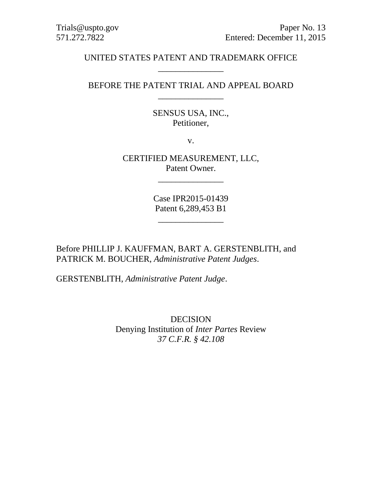# UNITED STATES PATENT AND TRADEMARK OFFICE \_\_\_\_\_\_\_\_\_\_\_\_\_\_\_

# BEFORE THE PATENT TRIAL AND APPEAL BOARD \_\_\_\_\_\_\_\_\_\_\_\_\_\_\_

SENSUS USA, INC., Petitioner,

v.

CERTIFIED MEASUREMENT, LLC, Patent Owner.

\_\_\_\_\_\_\_\_\_\_\_\_\_\_\_

Case IPR2015-01439 Patent 6,289,453 B1

\_\_\_\_\_\_\_\_\_\_\_\_\_\_\_

Before PHILLIP J. KAUFFMAN, BART A. GERSTENBLITH, and PATRICK M. BOUCHER, *Administrative Patent Judges*.

GERSTENBLITH, *Administrative Patent Judge*.

DECISION Denying Institution of *Inter Partes* Review *37 C.F.R. § 42.108*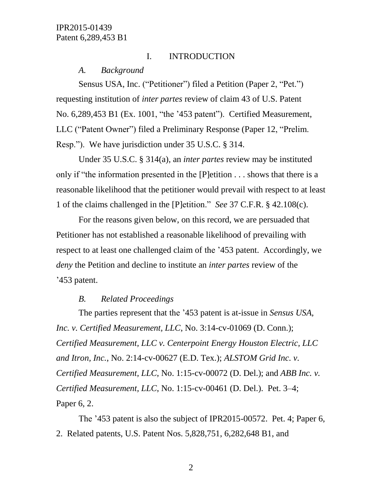# I. INTRODUCTION

*A. Background*

Sensus USA, Inc. ("Petitioner") filed a Petition (Paper 2, "Pet.") requesting institution of *inter partes* review of claim 43 of U.S. Patent No. 6,289,453 B1 (Ex. 1001, "the '453 patent"). Certified Measurement, LLC ("Patent Owner") filed a Preliminary Response (Paper 12, "Prelim. Resp."). We have jurisdiction under 35 U.S.C. § 314.

Under 35 U.S.C. § 314(a), an *inter partes* review may be instituted only if "the information presented in the [P]etition . . . shows that there is a reasonable likelihood that the petitioner would prevail with respect to at least 1 of the claims challenged in the [P]etition." *See* 37 C.F.R. § 42.108(c).

For the reasons given below, on this record, we are persuaded that Petitioner has not established a reasonable likelihood of prevailing with respect to at least one challenged claim of the '453 patent. Accordingly, we *deny* the Petition and decline to institute an *inter partes* review of the '453 patent.

### *B. Related Proceedings*

The parties represent that the '453 patent is at-issue in *Sensus USA, Inc. v. Certified Measurement, LLC*, No. 3:14-cv-01069 (D. Conn.); *Certified Measurement, LLC v. Centerpoint Energy Houston Electric, LLC and Itron, Inc.*, No. 2:14-cv-00627 (E.D. Tex.); *ALSTOM Grid Inc. v. Certified Measurement, LLC*, No. 1:15-cv-00072 (D. Del.); and *ABB Inc. v. Certified Measurement, LLC*, No. 1:15-cv-00461 (D. Del.). Pet. 3–4; Paper 6, 2.

The '453 patent is also the subject of IPR2015-00572. Pet. 4; Paper 6, 2. Related patents, U.S. Patent Nos. 5,828,751, 6,282,648 B1, and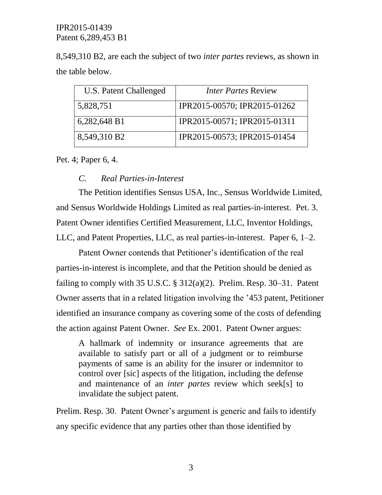8,549,310 B2, are each the subject of two *inter partes* reviews, as shown in the table below.

| U.S. Patent Challenged | <i><b>Inter Partes Review</b></i> |
|------------------------|-----------------------------------|
| 5,828,751              | IPR2015-00570; IPR2015-01262      |
| 6,282,648 B1           | IPR2015-00571; IPR2015-01311      |
| 8,549,310 B2           | IPR2015-00573; IPR2015-01454      |

Pet. 4; Paper 6, 4.

### *C. Real Parties-in-Interest*

The Petition identifies Sensus USA, Inc., Sensus Worldwide Limited, and Sensus Worldwide Holdings Limited as real parties-in-interest. Pet. 3. Patent Owner identifies Certified Measurement, LLC, Inventor Holdings, LLC, and Patent Properties, LLC, as real parties-in-interest. Paper 6, 1–2.

Patent Owner contends that Petitioner's identification of the real parties-in-interest is incomplete, and that the Petition should be denied as failing to comply with 35 U.S.C.  $\S$  312(a)(2). Prelim. Resp. 30–31. Patent Owner asserts that in a related litigation involving the '453 patent, Petitioner identified an insurance company as covering some of the costs of defending the action against Patent Owner. *See* Ex. 2001. Patent Owner argues:

A hallmark of indemnity or insurance agreements that are available to satisfy part or all of a judgment or to reimburse payments of same is an ability for the insurer or indemnitor to control over [sic] aspects of the litigation, including the defense and maintenance of an *inter partes* review which seek[s] to invalidate the subject patent.

Prelim. Resp. 30. Patent Owner's argument is generic and fails to identify any specific evidence that any parties other than those identified by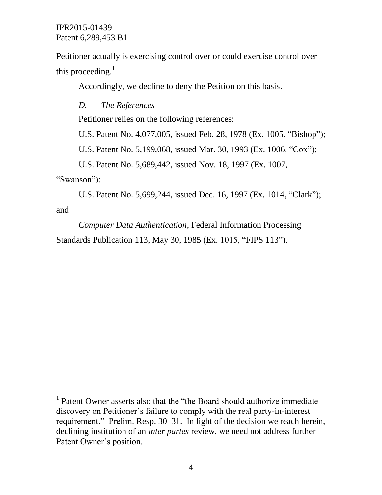Petitioner actually is exercising control over or could exercise control over this proceeding. $<sup>1</sup>$ </sup>

Accordingly, we decline to deny the Petition on this basis.

*D. The References*

Petitioner relies on the following references:

U.S. Patent No. 4,077,005, issued Feb. 28, 1978 (Ex. 1005, "Bishop");

U.S. Patent No. 5,199,068, issued Mar. 30, 1993 (Ex. 1006, "Cox");

U.S. Patent No. 5,689,442, issued Nov. 18, 1997 (Ex. 1007,

"Swanson");

 $\overline{a}$ 

U.S. Patent No. 5,699,244, issued Dec. 16, 1997 (Ex. 1014, "Clark"); and

*Computer Data Authentication*, Federal Information Processing Standards Publication 113, May 30, 1985 (Ex. 1015, "FIPS 113").

<sup>&</sup>lt;sup>1</sup> Patent Owner asserts also that the "the Board should authorize immediate discovery on Petitioner's failure to comply with the real party-in-interest requirement." Prelim. Resp. 30–31. In light of the decision we reach herein, declining institution of an *inter partes* review, we need not address further Patent Owner's position.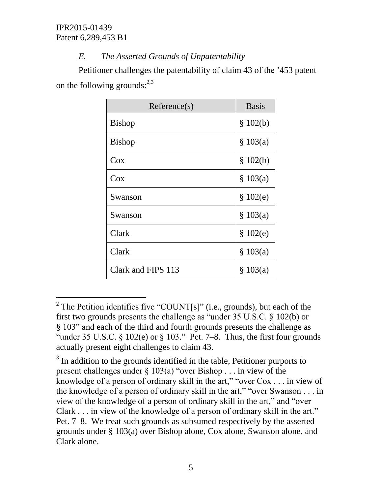$\overline{a}$ 

# *E. The Asserted Grounds of Unpatentability*

Petitioner challenges the patentability of claim 43 of the '453 patent on the following grounds: $^{2,3}$ 

| Reference(s)       | <b>Basis</b> |
|--------------------|--------------|
| <b>Bishop</b>      | \$102(b)     |
| <b>Bishop</b>      | \$103(a)     |
| Cox                | \$102(b)     |
| Cox                | \$103(a)     |
| Swanson            | \$102(e)     |
| Swanson            | \$103(a)     |
| Clark              | \$102(e)     |
| Clark              | \$103(a)     |
| Clark and FIPS 113 | \$103(a)     |

<sup>&</sup>lt;sup>2</sup> The Petition identifies five "COUNT[s]" (i.e., grounds), but each of the first two grounds presents the challenge as "under 35 U.S.C. § 102(b) or § 103" and each of the third and fourth grounds presents the challenge as "under 35 U.S.C.  $\S$  102(e) or  $\S$  103." Pet. 7–8. Thus, the first four grounds actually present eight challenges to claim 43.

 $3$  In addition to the grounds identified in the table, Petitioner purports to present challenges under § 103(a) "over Bishop . . . in view of the knowledge of a person of ordinary skill in the art," "over Cox . . . in view of the knowledge of a person of ordinary skill in the art," "over Swanson . . . in view of the knowledge of a person of ordinary skill in the art," and "over Clark . . . in view of the knowledge of a person of ordinary skill in the art." Pet. 7–8. We treat such grounds as subsumed respectively by the asserted grounds under § 103(a) over Bishop alone, Cox alone, Swanson alone, and Clark alone.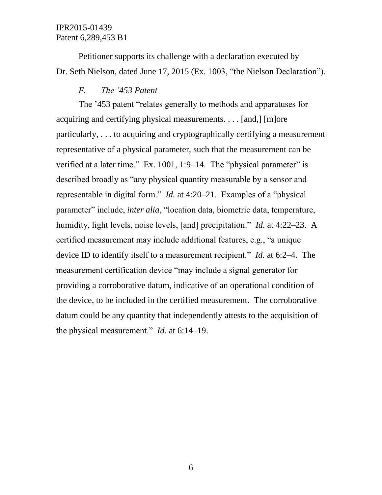Petitioner supports its challenge with a declaration executed by Dr. Seth Nielson, dated June 17, 2015 (Ex. 1003, "the Nielson Declaration").

# *F. The '453 Patent*

The '453 patent "relates generally to methods and apparatuses for acquiring and certifying physical measurements. . . . [and,] [m]ore particularly, . . . to acquiring and cryptographically certifying a measurement representative of a physical parameter, such that the measurement can be verified at a later time." Ex. 1001, 1:9–14. The "physical parameter" is described broadly as "any physical quantity measurable by a sensor and representable in digital form." *Id.* at 4:20–21. Examples of a "physical parameter" include, *inter alia*, "location data, biometric data, temperature, humidity, light levels, noise levels, [and] precipitation." *Id.* at 4:22–23. A certified measurement may include additional features, e.g., "a unique device ID to identify itself to a measurement recipient." *Id.* at 6:2–4. The measurement certification device "may include a signal generator for providing a corroborative datum, indicative of an operational condition of the device, to be included in the certified measurement. The corroborative datum could be any quantity that independently attests to the acquisition of the physical measurement." *Id.* at 6:14–19.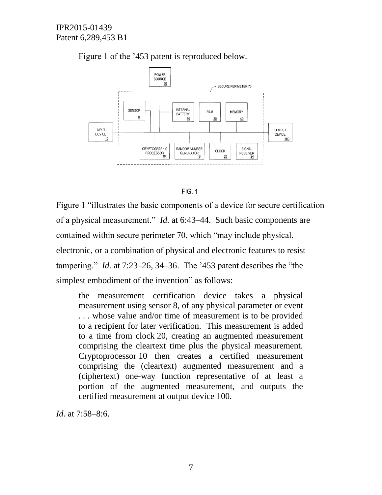

Figure 1 of the '453 patent is reproduced below.



Figure 1 "illustrates the basic components of a device for secure certification of a physical measurement." *Id.* at 6:43–44. Such basic components are contained within secure perimeter 70, which "may include physical, electronic, or a combination of physical and electronic features to resist tampering." *Id.* at 7:23–26, 34–36. The '453 patent describes the "the simplest embodiment of the invention" as follows:

the measurement certification device takes a physical measurement using sensor 8, of any physical parameter or event . . . whose value and/or time of measurement is to be provided to a recipient for later verification. This measurement is added to a time from clock 20, creating an augmented measurement comprising the cleartext time plus the physical measurement. Cryptoprocessor 10 then creates a certified measurement comprising the (cleartext) augmented measurement and a (ciphertext) one-way function representative of at least a portion of the augmented measurement, and outputs the certified measurement at output device 100.

*Id.* at 7:58–8:6.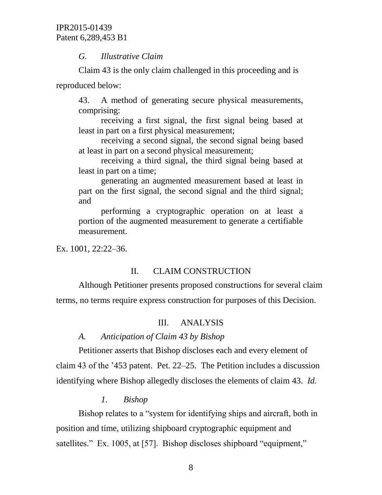# *G. Illustrative Claim*

Claim 43 is the only claim challenged in this proceeding and is reproduced below:

43. A method of generating secure physical measurements, comprising:

receiving a first signal, the first signal being based at least in part on a first physical measurement;

receiving a second signal, the second signal being based at least in part on a second physical measurement;

receiving a third signal, the third signal being based at least in part on a time;

generating an augmented measurement based at least in part on the first signal, the second signal and the third signal; and

performing a cryptographic operation on at least a portion of the augmented measurement to generate a certifiable measurement.

Ex. 1001, 22:22–36.

# II. CLAIM CONSTRUCTION

Although Petitioner presents proposed constructions for several claim terms, no terms require express construction for purposes of this Decision.

# III. ANALYSIS

# *A. Anticipation of Claim 43 by Bishop*

Petitioner asserts that Bishop discloses each and every element of claim 43 of the '453 patent. Pet. 22–25. The Petition includes a discussion identifying where Bishop allegedly discloses the elements of claim 43. *Id.*

# *1. Bishop*

Bishop relates to a "system for identifying ships and aircraft, both in position and time, utilizing shipboard cryptographic equipment and satellites." Ex. 1005, at [57]. Bishop discloses shipboard "equipment,"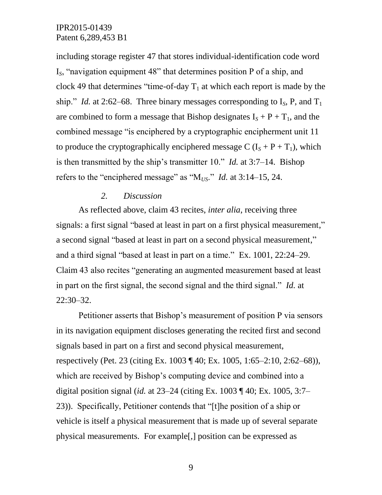including storage register 47 that stores individual-identification code word I*S*, "navigation equipment 48" that determines position P of a ship, and clock 49 that determines "time-of-day  $T_1$  at which each report is made by the ship." *Id.* at 2:62–68. Three binary messages corresponding to  $I_s$ , P, and  $T_1$ are combined to form a message that Bishop designates  $I_s + P + T_1$ , and the combined message "is enciphered by a cryptographic encipherment unit 11 to produce the cryptographically enciphered message C  $(I<sub>S</sub> + P + T<sub>1</sub>)$ , which is then transmitted by the ship's transmitter 10." *Id.* at 3:7–14. Bishop refers to the "enciphered message" as "M*US*." *Id.* at 3:14–15, 24.

#### *2. Discussion*

As reflected above, claim 43 recites, *inter alia*, receiving three signals: a first signal "based at least in part on a first physical measurement," a second signal "based at least in part on a second physical measurement," and a third signal "based at least in part on a time." Ex. 1001, 22:24–29. Claim 43 also recites "generating an augmented measurement based at least in part on the first signal, the second signal and the third signal." *Id.* at 22:30–32.

Petitioner asserts that Bishop's measurement of position P via sensors in its navigation equipment discloses generating the recited first and second signals based in part on a first and second physical measurement, respectively (Pet. 23 (citing Ex. 1003 ¶ 40; Ex. 1005, 1:65–2:10, 2:62–68)), which are received by Bishop's computing device and combined into a digital position signal (*id.* at 23–24 (citing Ex. 1003 ¶ 40; Ex. 1005, 3:7– 23)). Specifically, Petitioner contends that "[t]he position of a ship or vehicle is itself a physical measurement that is made up of several separate physical measurements. For example[,] position can be expressed as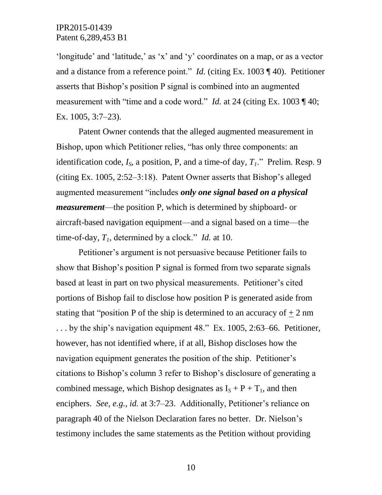'longitude' and 'latitude,' as 'x' and 'y' coordinates on a map, or as a vector and a distance from a reference point." *Id.* (citing Ex. 1003 ¶ 40). Petitioner asserts that Bishop's position P signal is combined into an augmented measurement with "time and a code word." *Id.* at 24 (citing Ex. 1003 ¶ 40; Ex. 1005, 3:7–23).

Patent Owner contends that the alleged augmented measurement in Bishop, upon which Petitioner relies, "has only three components: an identification code,  $I_s$ , a position, P, and a time-of day,  $T_l$ ." Prelim. Resp. 9 (citing Ex. 1005, 2:52–3:18). Patent Owner asserts that Bishop's alleged augmented measurement "includes *only one signal based on a physical measurement*—the position P, which is determined by shipboard- or aircraft-based navigation equipment—and a signal based on a time—the time-of-day, *T1*, determined by a clock." *Id.* at 10.

Petitioner's argument is not persuasive because Petitioner fails to show that Bishop's position P signal is formed from two separate signals based at least in part on two physical measurements. Petitioner's cited portions of Bishop fail to disclose how position P is generated aside from stating that "position P of the ship is determined to an accuracy of  $\pm 2$  nm . . . by the ship's navigation equipment 48." Ex. 1005, 2:63–66. Petitioner, however, has not identified where, if at all, Bishop discloses how the navigation equipment generates the position of the ship. Petitioner's citations to Bishop's column 3 refer to Bishop's disclosure of generating a combined message, which Bishop designates as  $I_s + P + T_1$ , and then enciphers. *See, e.g.*, *id.* at 3:7–23. Additionally, Petitioner's reliance on paragraph 40 of the Nielson Declaration fares no better. Dr. Nielson's testimony includes the same statements as the Petition without providing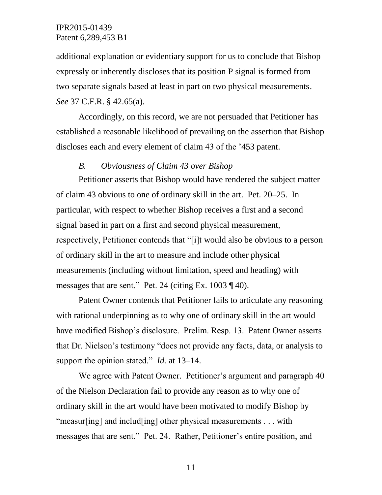additional explanation or evidentiary support for us to conclude that Bishop expressly or inherently discloses that its position P signal is formed from two separate signals based at least in part on two physical measurements. *See* 37 C.F.R. § 42.65(a).

Accordingly, on this record, we are not persuaded that Petitioner has established a reasonable likelihood of prevailing on the assertion that Bishop discloses each and every element of claim 43 of the '453 patent.

# *B. Obviousness of Claim 43 over Bishop*

Petitioner asserts that Bishop would have rendered the subject matter of claim 43 obvious to one of ordinary skill in the art. Pet. 20–25. In particular, with respect to whether Bishop receives a first and a second signal based in part on a first and second physical measurement, respectively, Petitioner contends that "[i]t would also be obvious to a person of ordinary skill in the art to measure and include other physical measurements (including without limitation, speed and heading) with messages that are sent." Pet. 24 (citing Ex. 1003 ¶ 40).

Patent Owner contends that Petitioner fails to articulate any reasoning with rational underpinning as to why one of ordinary skill in the art would have modified Bishop's disclosure. Prelim. Resp. 13. Patent Owner asserts that Dr. Nielson's testimony "does not provide any facts, data, or analysis to support the opinion stated." *Id.* at 13–14.

We agree with Patent Owner. Petitioner's argument and paragraph 40 of the Nielson Declaration fail to provide any reason as to why one of ordinary skill in the art would have been motivated to modify Bishop by "measur[ing] and includ[ing] other physical measurements . . . with messages that are sent." Pet. 24. Rather, Petitioner's entire position, and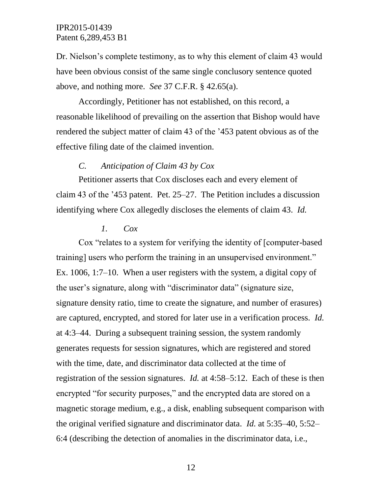Dr. Nielson's complete testimony, as to why this element of claim 43 would have been obvious consist of the same single conclusory sentence quoted above, and nothing more. *See* 37 C.F.R. § 42.65(a).

Accordingly, Petitioner has not established, on this record, a reasonable likelihood of prevailing on the assertion that Bishop would have rendered the subject matter of claim 43 of the '453 patent obvious as of the effective filing date of the claimed invention.

## *C. Anticipation of Claim 43 by Cox*

Petitioner asserts that Cox discloses each and every element of claim 43 of the '453 patent. Pet. 25–27. The Petition includes a discussion identifying where Cox allegedly discloses the elements of claim 43. *Id.*

#### *1. Cox*

Cox "relates to a system for verifying the identity of [computer-based training] users who perform the training in an unsupervised environment." Ex. 1006, 1:7–10. When a user registers with the system, a digital copy of the user's signature, along with "discriminator data" (signature size, signature density ratio, time to create the signature, and number of erasures) are captured, encrypted, and stored for later use in a verification process. *Id.* at 4:3–44. During a subsequent training session, the system randomly generates requests for session signatures, which are registered and stored with the time, date, and discriminator data collected at the time of registration of the session signatures. *Id.* at 4:58–5:12. Each of these is then encrypted "for security purposes," and the encrypted data are stored on a magnetic storage medium, e.g., a disk, enabling subsequent comparison with the original verified signature and discriminator data. *Id.* at 5:35–40, 5:52– 6:4 (describing the detection of anomalies in the discriminator data, i.e.,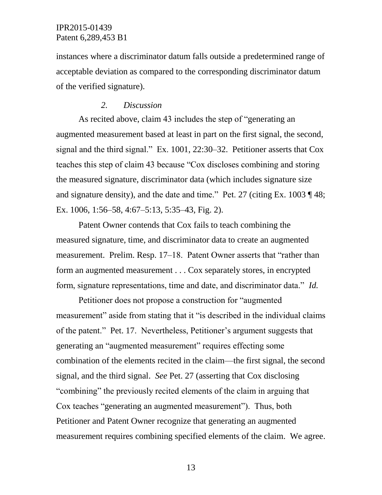instances where a discriminator datum falls outside a predetermined range of acceptable deviation as compared to the corresponding discriminator datum of the verified signature).

### *2. Discussion*

As recited above, claim 43 includes the step of "generating an augmented measurement based at least in part on the first signal, the second, signal and the third signal." Ex. 1001, 22:30–32. Petitioner asserts that Cox teaches this step of claim 43 because "Cox discloses combining and storing the measured signature, discriminator data (which includes signature size and signature density), and the date and time." Pet. 27 (citing Ex. 1003 ¶ 48; Ex. 1006, 1:56–58, 4:67–5:13, 5:35–43, Fig. 2).

Patent Owner contends that Cox fails to teach combining the measured signature, time, and discriminator data to create an augmented measurement. Prelim. Resp. 17–18. Patent Owner asserts that "rather than form an augmented measurement . . . Cox separately stores, in encrypted form, signature representations, time and date, and discriminator data." *Id.*

Petitioner does not propose a construction for "augmented measurement" aside from stating that it "is described in the individual claims of the patent." Pet. 17. Nevertheless, Petitioner's argument suggests that generating an "augmented measurement" requires effecting some combination of the elements recited in the claim—the first signal, the second signal, and the third signal. *See* Pet. 27 (asserting that Cox disclosing "combining" the previously recited elements of the claim in arguing that Cox teaches "generating an augmented measurement"). Thus, both Petitioner and Patent Owner recognize that generating an augmented measurement requires combining specified elements of the claim. We agree.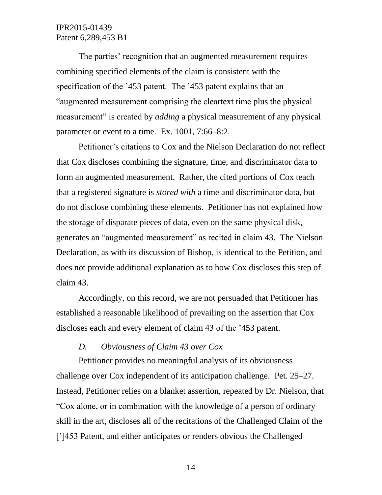The parties' recognition that an augmented measurement requires combining specified elements of the claim is consistent with the specification of the '453 patent. The '453 patent explains that an "augmented measurement comprising the cleartext time plus the physical measurement" is created by *adding* a physical measurement of any physical parameter or event to a time. Ex. 1001, 7:66–8:2.

Petitioner's citations to Cox and the Nielson Declaration do not reflect that Cox discloses combining the signature, time, and discriminator data to form an augmented measurement. Rather, the cited portions of Cox teach that a registered signature is *stored with* a time and discriminator data, but do not disclose combining these elements. Petitioner has not explained how the storage of disparate pieces of data, even on the same physical disk, generates an "augmented measurement" as recited in claim 43. The Nielson Declaration, as with its discussion of Bishop, is identical to the Petition, and does not provide additional explanation as to how Cox discloses this step of claim 43.

Accordingly, on this record, we are not persuaded that Petitioner has established a reasonable likelihood of prevailing on the assertion that Cox discloses each and every element of claim 43 of the '453 patent.

# *D. Obviousness of Claim 43 over Cox*

Petitioner provides no meaningful analysis of its obviousness challenge over Cox independent of its anticipation challenge. Pet. 25–27. Instead, Petitioner relies on a blanket assertion, repeated by Dr. Nielson, that "Cox alone, or in combination with the knowledge of a person of ordinary skill in the art, discloses all of the recitations of the Challenged Claim of the [']453 Patent, and either anticipates or renders obvious the Challenged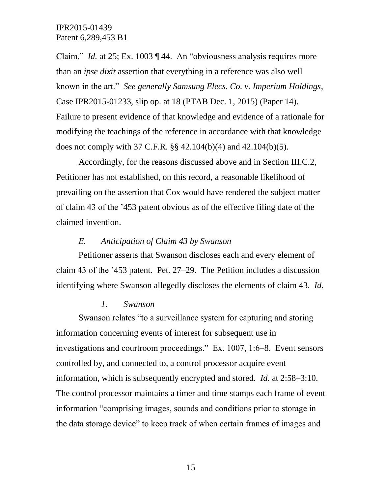Claim." *Id.* at 25; Ex. 1003 ¶ 44. An "obviousness analysis requires more than an *ipse dixit* assertion that everything in a reference was also well known in the art." *See generally Samsung Elecs. Co. v. Imperium Holdings*, Case IPR2015-01233, slip op. at 18 (PTAB Dec. 1, 2015) (Paper 14). Failure to present evidence of that knowledge and evidence of a rationale for modifying the teachings of the reference in accordance with that knowledge does not comply with 37 C.F.R. §§ 42.104(b)(4) and 42.104(b)(5).

Accordingly, for the reasons discussed above and in Section III.C.2, Petitioner has not established, on this record, a reasonable likelihood of prevailing on the assertion that Cox would have rendered the subject matter of claim 43 of the '453 patent obvious as of the effective filing date of the claimed invention.

#### *E. Anticipation of Claim 43 by Swanson*

Petitioner asserts that Swanson discloses each and every element of claim 43 of the '453 patent. Pet. 27–29. The Petition includes a discussion identifying where Swanson allegedly discloses the elements of claim 43. *Id.*

#### *1. Swanson*

Swanson relates "to a surveillance system for capturing and storing information concerning events of interest for subsequent use in investigations and courtroom proceedings." Ex. 1007, 1:6–8. Event sensors controlled by, and connected to, a control processor acquire event information, which is subsequently encrypted and stored. *Id.* at 2:58–3:10. The control processor maintains a timer and time stamps each frame of event information "comprising images, sounds and conditions prior to storage in the data storage device" to keep track of when certain frames of images and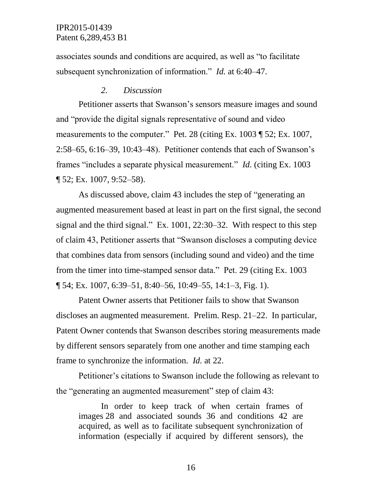associates sounds and conditions are acquired, as well as "to facilitate subsequent synchronization of information." *Id.* at 6:40–47.

#### *2. Discussion*

Petitioner asserts that Swanson's sensors measure images and sound and "provide the digital signals representative of sound and video measurements to the computer." Pet. 28 (citing Ex. 1003 ¶ 52; Ex. 1007, 2:58–65, 6:16–39, 10:43–48). Petitioner contends that each of Swanson's frames "includes a separate physical measurement." *Id.* (citing Ex. 1003 ¶ 52; Ex. 1007, 9:52–58).

As discussed above, claim 43 includes the step of "generating an augmented measurement based at least in part on the first signal, the second signal and the third signal." Ex. 1001, 22:30–32. With respect to this step of claim 43, Petitioner asserts that "Swanson discloses a computing device that combines data from sensors (including sound and video) and the time from the timer into time-stamped sensor data." Pet. 29 (citing Ex. 1003 ¶ 54; Ex. 1007, 6:39–51, 8:40–56, 10:49–55, 14:1–3, Fig. 1).

Patent Owner asserts that Petitioner fails to show that Swanson discloses an augmented measurement. Prelim. Resp. 21–22. In particular, Patent Owner contends that Swanson describes storing measurements made by different sensors separately from one another and time stamping each frame to synchronize the information. *Id.* at 22.

Petitioner's citations to Swanson include the following as relevant to the "generating an augmented measurement" step of claim 43:

In order to keep track of when certain frames of images 28 and associated sounds 36 and conditions 42 are acquired, as well as to facilitate subsequent synchronization of information (especially if acquired by different sensors), the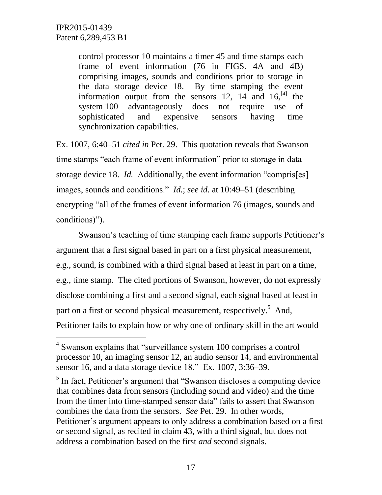l

control processor 10 maintains a timer 45 and time stamps each frame of event information (76 in FIGS. 4A and 4B) comprising images, sounds and conditions prior to storage in the data storage device 18. By time stamping the event information output from the sensors 12,  $14$  and  $16$ <sup>[4]</sup>, the system 100 advantageously does not require use of sophisticated and expensive sensors having time synchronization capabilities.

Ex. 1007, 6:40–51 *cited in* Pet. 29. This quotation reveals that Swanson time stamps "each frame of event information" prior to storage in data storage device 18. *Id.* Additionally, the event information "compris[es] images, sounds and conditions." *Id.*; *see id.* at 10:49–51 (describing encrypting "all of the frames of event information 76 (images, sounds and conditions)").

Swanson's teaching of time stamping each frame supports Petitioner's argument that a first signal based in part on a first physical measurement, e.g., sound, is combined with a third signal based at least in part on a time, e.g., time stamp. The cited portions of Swanson, however, do not expressly disclose combining a first and a second signal, each signal based at least in part on a first or second physical measurement, respectively.<sup>5</sup> And, Petitioner fails to explain how or why one of ordinary skill in the art would

<sup>5</sup> In fact, Petitioner's argument that "Swanson discloses a computing device that combines data from sensors (including sound and video) and the time from the timer into time-stamped sensor data" fails to assert that Swanson combines the data from the sensors. *See* Pet. 29. In other words, Petitioner's argument appears to only address a combination based on a first *or* second signal, as recited in claim 43, with a third signal, but does not address a combination based on the first *and* second signals.

<sup>&</sup>lt;sup>4</sup> Swanson explains that "surveillance system 100 comprises a control processor 10, an imaging sensor 12, an audio sensor 14, and environmental sensor 16, and a data storage device 18." Ex. 1007, 3:36–39.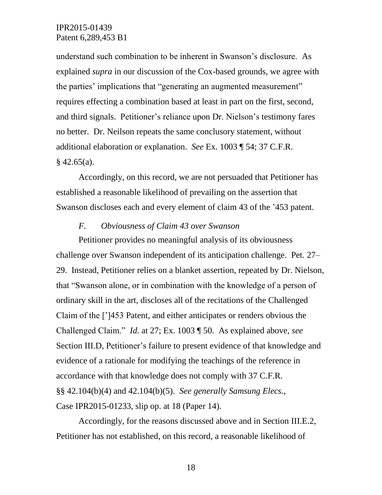understand such combination to be inherent in Swanson's disclosure. As explained *supra* in our discussion of the Cox-based grounds, we agree with the parties' implications that "generating an augmented measurement" requires effecting a combination based at least in part on the first, second, and third signals. Petitioner's reliance upon Dr. Nielson's testimony fares no better. Dr. Neilson repeats the same conclusory statement, without additional elaboration or explanation. *See* Ex. 1003 ¶ 54; 37 C.F.R.  $§$  42.65(a).

Accordingly, on this record, we are not persuaded that Petitioner has established a reasonable likelihood of prevailing on the assertion that Swanson discloses each and every element of claim 43 of the '453 patent.

#### *F. Obviousness of Claim 43 over Swanson*

Petitioner provides no meaningful analysis of its obviousness challenge over Swanson independent of its anticipation challenge. Pet. 27– 29. Instead, Petitioner relies on a blanket assertion, repeated by Dr. Nielson, that "Swanson alone, or in combination with the knowledge of a person of ordinary skill in the art, discloses all of the recitations of the Challenged Claim of the [']453 Patent, and either anticipates or renders obvious the Challenged Claim." *Id.* at 27; Ex. 1003 ¶ 50. As explained above, *see* Section III.D, Petitioner's failure to present evidence of that knowledge and evidence of a rationale for modifying the teachings of the reference in accordance with that knowledge does not comply with 37 C.F.R. §§ 42.104(b)(4) and 42.104(b)(5). *See generally Samsung Elecs.*, Case IPR2015-01233, slip op. at 18 (Paper 14).

Accordingly, for the reasons discussed above and in Section III.E.2, Petitioner has not established, on this record, a reasonable likelihood of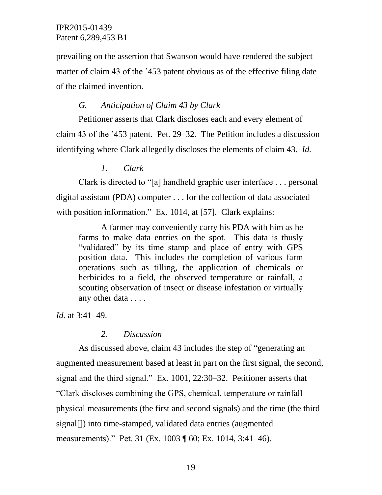prevailing on the assertion that Swanson would have rendered the subject matter of claim 43 of the '453 patent obvious as of the effective filing date of the claimed invention.

## *G. Anticipation of Claim 43 by Clark*

Petitioner asserts that Clark discloses each and every element of claim 43 of the '453 patent. Pet. 29–32. The Petition includes a discussion identifying where Clark allegedly discloses the elements of claim 43. *Id.*

## *1. Clark*

Clark is directed to "[a] handheld graphic user interface . . . personal digital assistant (PDA) computer . . . for the collection of data associated with position information." Ex. 1014, at [57]. Clark explains:

A farmer may conveniently carry his PDA with him as he farms to make data entries on the spot. This data is thusly "validated" by its time stamp and place of entry with GPS position data. This includes the completion of various farm operations such as tilling, the application of chemicals or herbicides to a field, the observed temperature or rainfall, a scouting observation of insect or disease infestation or virtually any other data . . . .

*Id.* at 3:41–49.

# *2. Discussion*

As discussed above, claim 43 includes the step of "generating an augmented measurement based at least in part on the first signal, the second, signal and the third signal." Ex. 1001, 22:30–32. Petitioner asserts that "Clark discloses combining the GPS, chemical, temperature or rainfall physical measurements (the first and second signals) and the time (the third signal[]) into time-stamped, validated data entries (augmented measurements)." Pet. 31 (Ex. 1003 ¶ 60; Ex. 1014, 3:41–46).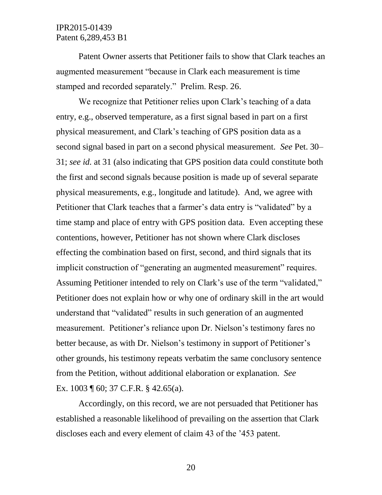Patent Owner asserts that Petitioner fails to show that Clark teaches an augmented measurement "because in Clark each measurement is time stamped and recorded separately." Prelim. Resp. 26.

We recognize that Petitioner relies upon Clark's teaching of a data entry, e.g., observed temperature, as a first signal based in part on a first physical measurement, and Clark's teaching of GPS position data as a second signal based in part on a second physical measurement. *See* Pet. 30– 31; *see id.* at 31 (also indicating that GPS position data could constitute both the first and second signals because position is made up of several separate physical measurements, e.g., longitude and latitude). And, we agree with Petitioner that Clark teaches that a farmer's data entry is "validated" by a time stamp and place of entry with GPS position data. Even accepting these contentions, however, Petitioner has not shown where Clark discloses effecting the combination based on first, second, and third signals that its implicit construction of "generating an augmented measurement" requires. Assuming Petitioner intended to rely on Clark's use of the term "validated," Petitioner does not explain how or why one of ordinary skill in the art would understand that "validated" results in such generation of an augmented measurement. Petitioner's reliance upon Dr. Nielson's testimony fares no better because, as with Dr. Nielson's testimony in support of Petitioner's other grounds, his testimony repeats verbatim the same conclusory sentence from the Petition, without additional elaboration or explanation. *See*  Ex. 1003 ¶ 60; 37 C.F.R. § 42.65(a).

Accordingly, on this record, we are not persuaded that Petitioner has established a reasonable likelihood of prevailing on the assertion that Clark discloses each and every element of claim 43 of the '453 patent.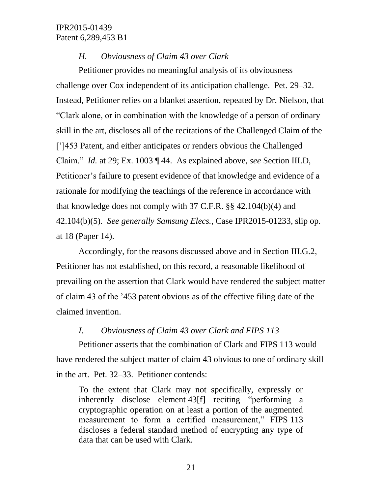# *H. Obviousness of Claim 43 over Clark*

Petitioner provides no meaningful analysis of its obviousness challenge over Cox independent of its anticipation challenge. Pet. 29–32. Instead, Petitioner relies on a blanket assertion, repeated by Dr. Nielson, that "Clark alone, or in combination with the knowledge of a person of ordinary skill in the art, discloses all of the recitations of the Challenged Claim of the [']453 Patent, and either anticipates or renders obvious the Challenged Claim." *Id.* at 29; Ex. 1003 ¶ 44. As explained above, *see* Section III.D, Petitioner's failure to present evidence of that knowledge and evidence of a rationale for modifying the teachings of the reference in accordance with that knowledge does not comply with 37 C.F.R. §§ 42.104(b)(4) and 42.104(b)(5). *See generally Samsung Elecs.*, Case IPR2015-01233, slip op. at 18 (Paper 14).

Accordingly, for the reasons discussed above and in Section III.G.2, Petitioner has not established, on this record, a reasonable likelihood of prevailing on the assertion that Clark would have rendered the subject matter of claim 43 of the '453 patent obvious as of the effective filing date of the claimed invention.

### *I. Obviousness of Claim 43 over Clark and FIPS 113*

Petitioner asserts that the combination of Clark and FIPS 113 would have rendered the subject matter of claim 43 obvious to one of ordinary skill in the art. Pet. 32–33. Petitioner contends:

To the extent that Clark may not specifically, expressly or inherently disclose element 43[f] reciting "performing a cryptographic operation on at least a portion of the augmented measurement to form a certified measurement," FIPS 113 discloses a federal standard method of encrypting any type of data that can be used with Clark.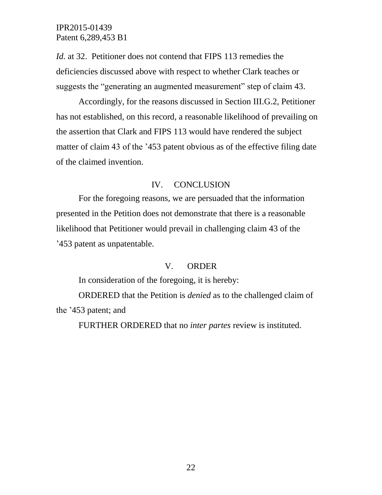*Id.* at 32. Petitioner does not contend that FIPS 113 remedies the deficiencies discussed above with respect to whether Clark teaches or suggests the "generating an augmented measurement" step of claim 43.

Accordingly, for the reasons discussed in Section III.G.2, Petitioner has not established, on this record, a reasonable likelihood of prevailing on the assertion that Clark and FIPS 113 would have rendered the subject matter of claim 43 of the '453 patent obvious as of the effective filing date of the claimed invention.

## IV. CONCLUSION

For the foregoing reasons, we are persuaded that the information presented in the Petition does not demonstrate that there is a reasonable likelihood that Petitioner would prevail in challenging claim 43 of the '453 patent as unpatentable.

### V. ORDER

In consideration of the foregoing, it is hereby:

ORDERED that the Petition is *denied* as to the challenged claim of the '453 patent; and

FURTHER ORDERED that no *inter partes* review is instituted.